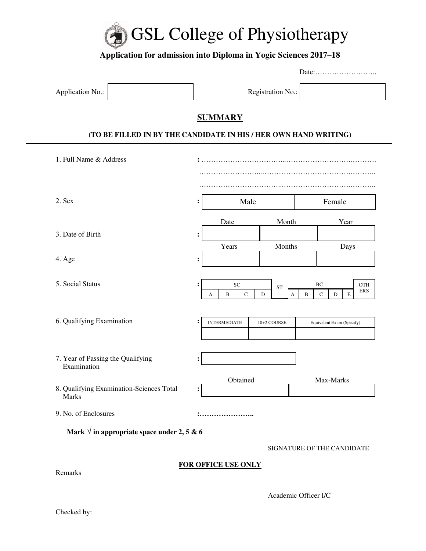

# **Application for admission into Diploma in Yogic Sciences 2017–18**

|                                                                  | Date:                               |                     |                            |                  |                          |  |
|------------------------------------------------------------------|-------------------------------------|---------------------|----------------------------|------------------|--------------------------|--|
| Application No.:                                                 | Registration No.:                   |                     |                            |                  |                          |  |
|                                                                  | <b>SUMMARY</b>                      |                     |                            |                  |                          |  |
| (TO BE FILLED IN BY THE CANDIDATE IN HIS / HER OWN HAND WRITING) |                                     |                     |                            |                  |                          |  |
| 1. Full Name & Address                                           |                                     |                     |                            |                  |                          |  |
|                                                                  |                                     |                     |                            |                  |                          |  |
| 2. Sex                                                           | Male<br>$\ddot{\cdot}$              |                     | Female                     |                  |                          |  |
|                                                                  | Date                                | Month               |                            | Year             |                          |  |
| 3. Date of Birth                                                 | $\ddot{\cdot}$<br>Years             | Months              | Days                       |                  |                          |  |
| 4. Age                                                           |                                     |                     |                            |                  |                          |  |
|                                                                  |                                     |                     |                            |                  |                          |  |
| 5. Social Status                                                 | SC<br>$\ddot{\cdot}$<br>B<br>C<br>А | <b>ST</b><br>D<br>A | BC<br>$\mathbf C$<br>B     | $\mathbf E$<br>D | <b>OTH</b><br><b>ERS</b> |  |
|                                                                  |                                     |                     |                            |                  |                          |  |
| 6. Qualifying Examination                                        | <b>INTERMEDIATE</b><br>10+2 COURSE  |                     | Equivalent Exam (Specify)  |                  |                          |  |
|                                                                  |                                     |                     |                            |                  |                          |  |
| 7. Year of Passing the Qualifying<br>Examination                 |                                     |                     |                            |                  |                          |  |
| 8. Qualifying Examination-Sciences Total<br>Marks                | Obtained<br>$\ddot{\cdot}$          | Max-Marks           |                            |                  |                          |  |
| 9. No. of Enclosures                                             |                                     |                     |                            |                  |                          |  |
| Mark $\sqrt{ }$ in appropriate space under 2, 5 & 6              |                                     |                     |                            |                  |                          |  |
|                                                                  |                                     |                     | SIGNATURE OF THE CANDIDATE |                  |                          |  |

### **FOR OFFICE USE ONLY**

Academic Officer I/C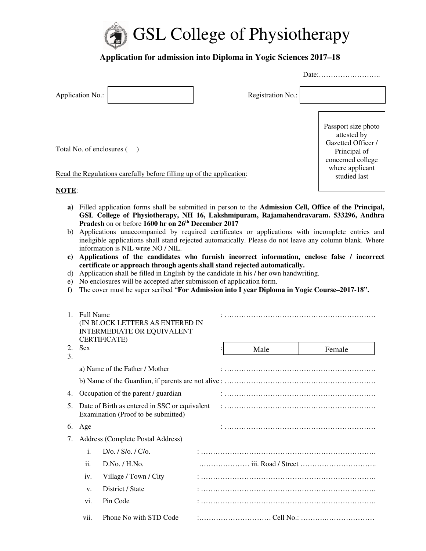

## **Application for admission into Diploma in Yogic Sciences 2017–18**

|                                                                      |                   | Date:                                                                                         |
|----------------------------------------------------------------------|-------------------|-----------------------------------------------------------------------------------------------|
| Application No.:                                                     | Registration No.: |                                                                                               |
| Total No. of enclosures ()                                           |                   | Passport size photo<br>attested by<br>Gazetted Officer /<br>Principal of<br>concerned college |
| Read the Regulations carefully before filling up of the application: |                   | where applicant<br>studied last                                                               |
| <b>NOTE:</b>                                                         |                   |                                                                                               |

- **a)** Filled application forms shall be submitted in person to the **Admission Cell, Office of the Principal, GSL College of Physiotherapy, NH 16, Lakshmipuram, Rajamahendravaram. 533296, Andhra Pradesh** on or before **1600 hr on 26th December 2017**
- b) Applications unaccompanied by required certificates or applications with incomplete entries and ineligible applications shall stand rejected automatically. Please do not leave any column blank. Where information is NIL write NO / NIL.
- **c) Applications of the candidates who furnish incorrect information, enclose false / incorrect certificate or approach through agents shall stand rejected automatically.**
- d) Application shall be filled in English by the candidate in his / her own handwriting.
- e) No enclosures will be accepted after submission of application form.
- f) The cover must be super scribed "**For Admission into I year Diploma in Yogic Course–2017-18".**

| $\mathbf{1}$ | <b>Full Name</b> | (IN BLOCK LETTERS AS ENTERED IN<br><b>INTERMEDIATE OR EQUIVALENT</b><br><b>CERTIFICATE</b> ) |  |  |      |        |  |
|--------------|------------------|----------------------------------------------------------------------------------------------|--|--|------|--------|--|
| 2.<br>3.     | <b>Sex</b>       |                                                                                              |  |  | Male | Female |  |
|              |                  | a) Name of the Father / Mother                                                               |  |  |      |        |  |
|              |                  |                                                                                              |  |  |      |        |  |
| 4.           |                  | Occupation of the parent / guardian                                                          |  |  |      |        |  |
| 5.           |                  | Date of Birth as entered in SSC or equivalent<br>Examination (Proof to be submitted)         |  |  |      |        |  |
| 6.           | Age              |                                                                                              |  |  |      |        |  |
| 7.           |                  | Address (Complete Postal Address)                                                            |  |  |      |        |  |
|              | i.               | $D/\sigma$ . / $S/\sigma$ . / $C/\sigma$ .                                                   |  |  |      |        |  |
|              | ii.              | D.No. / H.No.                                                                                |  |  |      |        |  |
|              | iv.              | Village / Town / City                                                                        |  |  |      |        |  |
|              | V.               | District / State                                                                             |  |  |      |        |  |
|              | vi.              | Pin Code                                                                                     |  |  |      |        |  |
|              | vii.             | Phone No with STD Code                                                                       |  |  |      |        |  |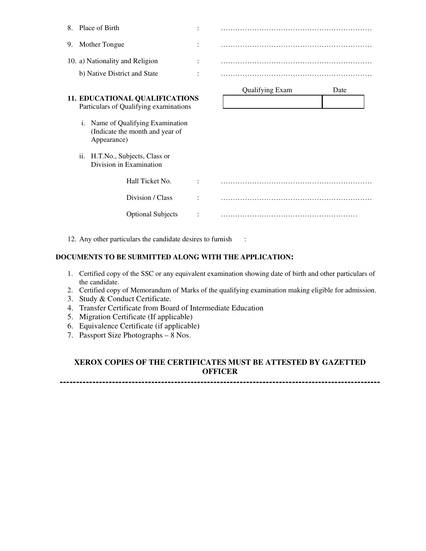| 8. | Place of Birth                                                                         |                |                        |      |
|----|----------------------------------------------------------------------------------------|----------------|------------------------|------|
| 9. | Mother Tongue                                                                          | $\ddot{\cdot}$ |                        |      |
|    | 10. a) Nationality and Religion                                                        | $\ddot{\cdot}$ |                        |      |
|    | b) Native District and State                                                           |                |                        |      |
|    |                                                                                        |                | <b>Qualifying Exam</b> | Date |
|    | <b>11. EDUCATIONAL QUALIFICATIONS</b><br>Particulars of Qualifying examinations        |                |                        |      |
|    | Name of Qualifying Examination<br>i.<br>(Indicate the month and year of<br>Appearance) |                |                        |      |
|    | ii.<br>H.T.No., Subjects, Class or<br>Division in Examination                          |                |                        |      |
|    | Hall Ticket No.                                                                        |                |                        |      |
|    | Division / Class                                                                       |                |                        |      |
|    | <b>Optional Subjects</b>                                                               |                |                        |      |

12. Any other particulars the candidate desires to furnish :

#### **DOCUMENTS TO BE SUBMITTED ALONG WITH THE APPLICATION:**

- 1. Certified copy of the SSC or any equivalent examination showing date of birth and other particulars of the candidate.
- 2. Certified copy of Memorandum of Marks of the qualifying examination making eligible for admission.
- 3. Study & Conduct Certificate.
- 4. Transfer Certificate from Board of Intermediate Education
- 5. Migration Certificate (If applicable)
- 6. Equivalence Certificate (if applicable)
- 7. Passport Size Photographs 8 Nos.

#### **XEROX COPIES OF THE CERTIFICATES MUST BE ATTESTED BY GAZETTED OFFICER**

**--------------------------------------------------------------------------------------------------**